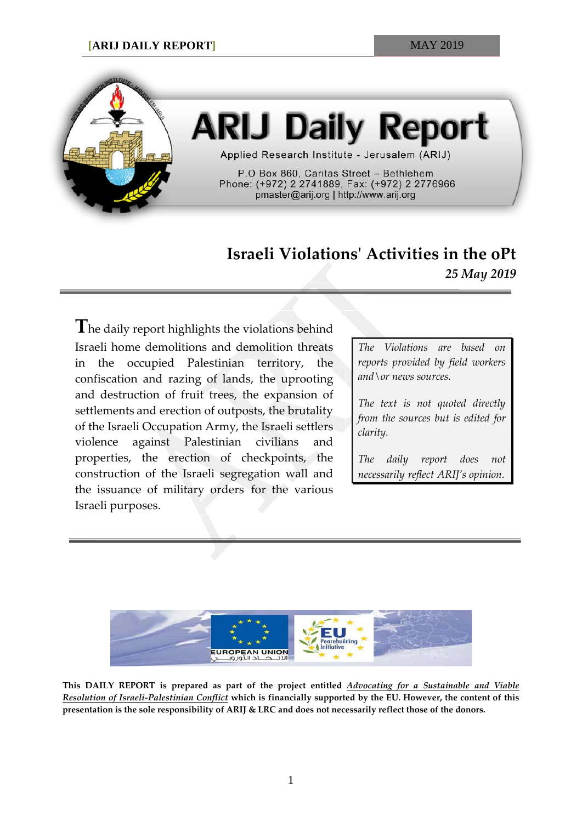

# **ARIJ Daily Report**

Applied Research Institute - Jerusalem (ARIJ)

P.O Box 860, Caritas Street - Bethlehem Phone: (+972) 2 2741889, Fax: (+972) 2 2776966 pmaster@arij.org | http://www.arij.org

## **Israeli Violations' Activities in the oPt** *25 May 2019*

**T**he daily report highlights the violations behind Israeli home demolitions and demolition threats in the occupied Palestinian territory, the confiscation and razing of lands, the uprooting and destruction of fruit trees, the expansion of settlements and erection of outposts, the brutality of the Israeli Occupation Army, the Israeli settlers violence against Palestinian civilians and properties, the erection of checkpoints, the construction of the Israeli segregation wall and the issuance of military orders for the various Israeli purposes.

*The Violations are based on reports provided by field workers and\or news sources.*

*The text is not quoted directly from the sources but is edited for clarity.*

*The daily report does not necessarily reflect ARIJ's opinion.*



**This DAILY REPORT is prepared as part of the project entitled** *Advocating for a Sustainable and Viable Resolution of Israeli-Palestinian Conflict* **which is financially supported by the EU. However, the content of this presentation is the sole responsibility of ARIJ & LRC and does not necessarily reflect those of the donors.**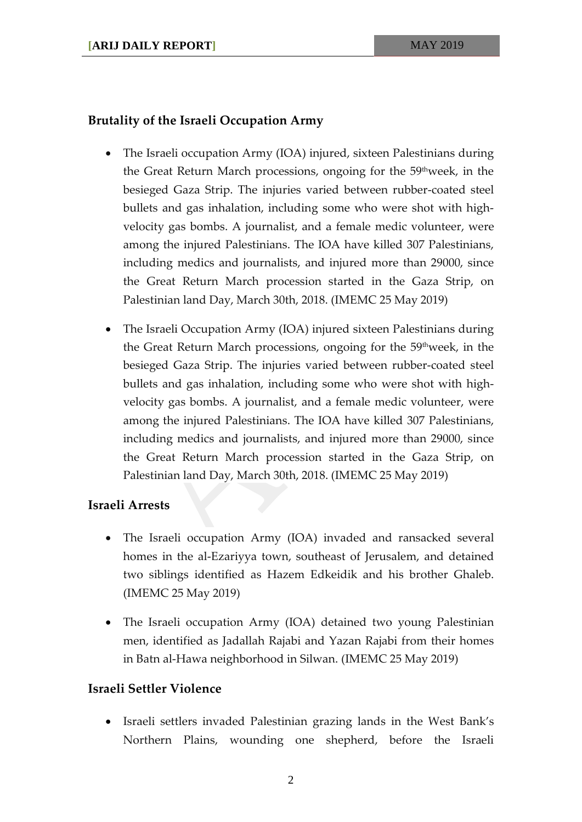### **Brutality of the Israeli Occupation Army**

- The Israeli occupation Army (IOA) injured, sixteen Palestinians during the Great Return March processions, ongoing for the 59<sup>th</sup>week, in the besieged Gaza Strip. The injuries varied between rubber-coated steel bullets and gas inhalation, including some who were shot with highvelocity gas bombs. A journalist, and a female medic volunteer, were among the injured Palestinians. The IOA have killed 307 Palestinians, including medics and journalists, and injured more than 29000, since the Great Return March procession started in the Gaza Strip, on Palestinian land Day, March 30th, 2018. (IMEMC 25 May 2019)
- The Israeli Occupation Army (IOA) injured sixteen Palestinians during the Great Return March processions, ongoing for the 59<sup>th</sup>week, in the besieged Gaza Strip. The injuries varied between rubber-coated steel bullets and gas inhalation, including some who were shot with highvelocity gas bombs. A journalist, and a female medic volunteer, were among the injured Palestinians. The IOA have killed 307 Palestinians, including medics and journalists, and injured more than 29000, since the Great Return March procession started in the Gaza Strip, on Palestinian land Day, March 30th, 2018. (IMEMC 25 May 2019)

#### **Israeli Arrests**

- The Israeli occupation Army (IOA) invaded and ransacked several homes in the al-Ezariyya town, southeast of Jerusalem, and detained two siblings identified as Hazem Edkeidik and his brother Ghaleb. (IMEMC 25 May 2019)
- The Israeli occupation Army (IOA) detained two young Palestinian men, identified as Jadallah Rajabi and Yazan Rajabi from their homes in Batn al-Hawa neighborhood in Silwan. (IMEMC 25 May 2019)

#### **Israeli Settler Violence**

• Israeli settlers invaded Palestinian grazing lands in the West Bank's Northern Plains, wounding one shepherd, before the Israeli